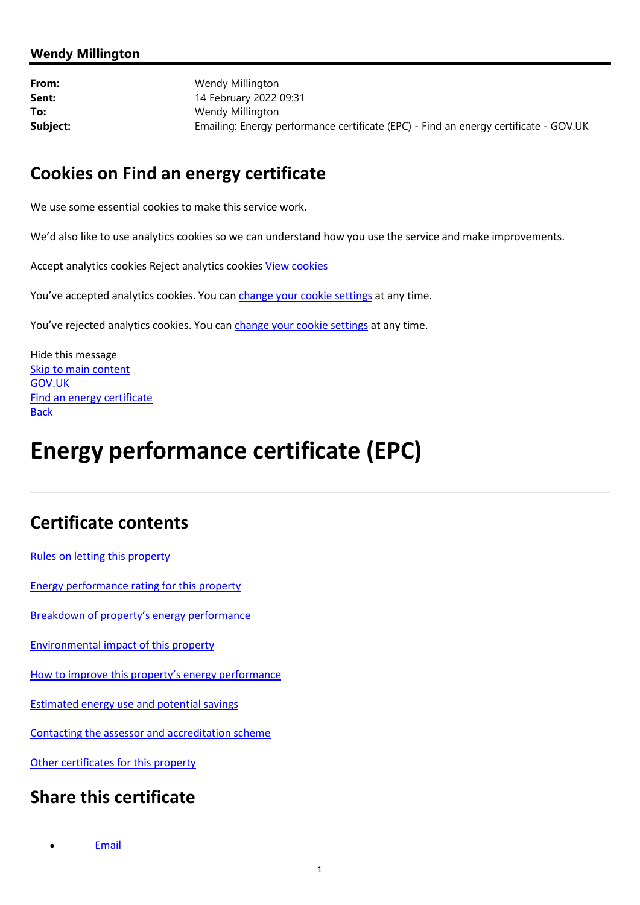### Wendy Millington

From: Wendy Millington **Sent:** 14 February 2022 09:31 To: Wendy Millington Subject: Emailing: Energy performance certificate (EPC) - Find an energy certificate - GOV.UK

### Cookies on Find an energy certificate

We use some essential cookies to make this service work.

We'd also like to use analytics cookies so we can understand how you use the service and make improvements.

Accept analytics cookies Reject analytics cookies View cookies

You've accepted analytics cookies. You can change your cookie settings at any time.

You've rejected analytics cookies. You can change your cookie settings at any time.

Hide this message Skip to main content GOV.UK Find an energy certificate **Back** 

# Energy performance certificate (EPC)

## Certificate contents

Rules on letting this property

Energy performance rating for this property

Breakdown of property's energy performance

Environmental impact of this property

How to improve this property's energy performance

Estimated energy use and potential savings

Contacting the assessor and accreditation scheme

Other certificates for this property

### Share this certificate

Email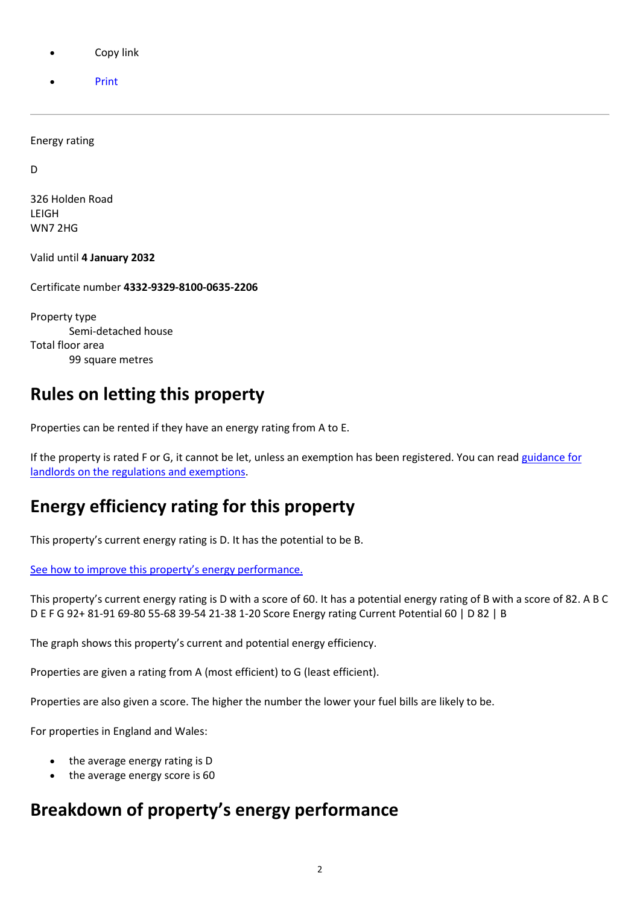- Copy link
- Print

Energy rating

D

326 Holden Road LEIGH WN7 2HG

Valid until 4 January 2032

Certificate number 4332-9329-8100-0635-2206

Property type Semi-detached house Total floor area 99 square metres

# Rules on letting this property

Properties can be rented if they have an energy rating from A to E.

If the property is rated F or G, it cannot be let, unless an exemption has been registered. You can read guidance for landlords on the regulations and exemptions.

# Energy efficiency rating for this property

This property's current energy rating is D. It has the potential to be B.

See how to improve this property's energy performance.

This property's current energy rating is D with a score of 60. It has a potential energy rating of B with a score of 82. A B C D E F G 92+ 81-91 69-80 55-68 39-54 21-38 1-20 Score Energy rating Current Potential 60 | D 82 | B

The graph shows this property's current and potential energy efficiency.

Properties are given a rating from A (most efficient) to G (least efficient).

Properties are also given a score. The higher the number the lower your fuel bills are likely to be.

For properties in England and Wales:

- the average energy rating is D
- the average energy score is 60

# Breakdown of property's energy performance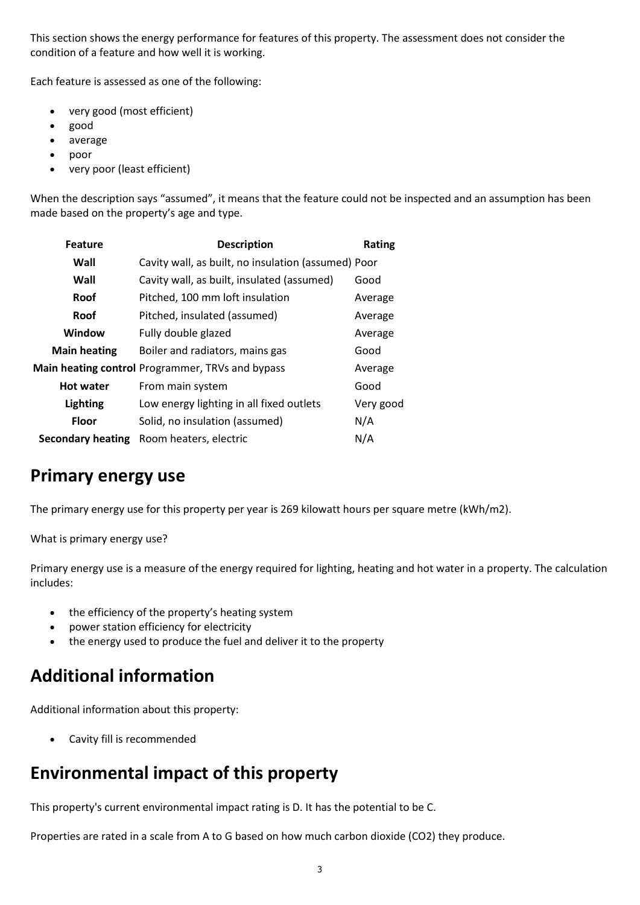This section shows the energy performance for features of this property. The assessment does not consider the condition of a feature and how well it is working.

Each feature is assessed as one of the following:

- very good (most efficient)
- good
- average
- poor
- very poor (least efficient)

When the description says "assumed", it means that the feature could not be inspected and an assumption has been made based on the property's age and type.

| <b>Feature</b>           | <b>Description</b>                                  | Rating    |
|--------------------------|-----------------------------------------------------|-----------|
| Wall                     | Cavity wall, as built, no insulation (assumed) Poor |           |
| Wall                     | Cavity wall, as built, insulated (assumed)          | Good      |
| Roof                     | Pitched, 100 mm loft insulation                     | Average   |
| Roof                     | Pitched, insulated (assumed)                        | Average   |
| Window                   | Fully double glazed                                 | Average   |
| <b>Main heating</b>      | Boiler and radiators, mains gas                     | Good      |
|                          | Main heating control Programmer, TRVs and bypass    | Average   |
| <b>Hot water</b>         | From main system                                    | Good      |
| <b>Lighting</b>          | Low energy lighting in all fixed outlets            | Very good |
| <b>Floor</b>             | Solid, no insulation (assumed)                      | N/A       |
| <b>Secondary heating</b> | Room heaters, electric                              | N/A       |
|                          |                                                     |           |

### Primary energy use

The primary energy use for this property per year is 269 kilowatt hours per square metre (kWh/m2).

What is primary energy use?

Primary energy use is a measure of the energy required for lighting, heating and hot water in a property. The calculation includes:

- the efficiency of the property's heating system
- power station efficiency for electricity
- the energy used to produce the fuel and deliver it to the property

# Additional information

Additional information about this property:

Cavity fill is recommended

# Environmental impact of this property

This property's current environmental impact rating is D. It has the potential to be C.

Properties are rated in a scale from A to G based on how much carbon dioxide (CO2) they produce.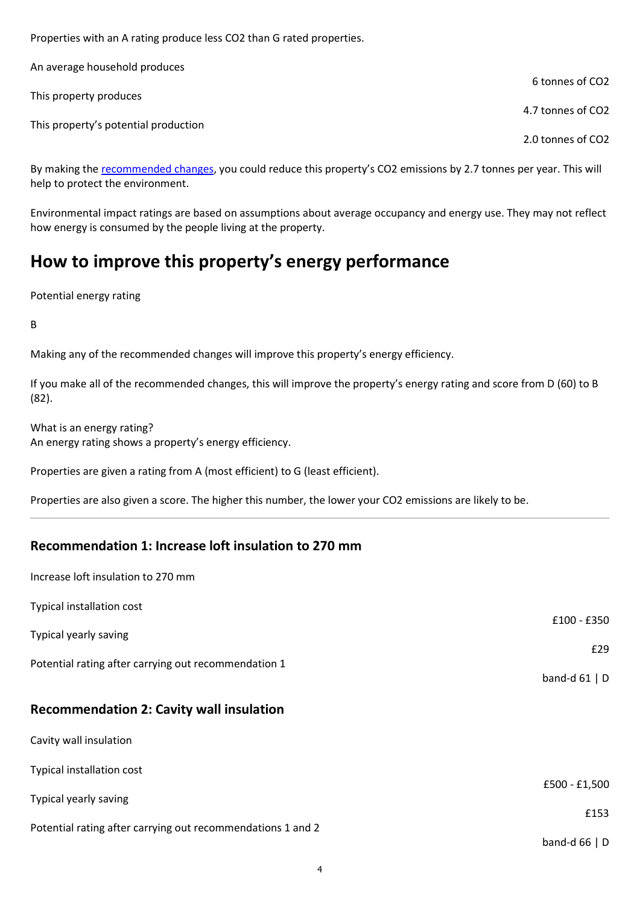Properties with an A rating produce less CO2 than G rated properties.

| An average household produces        |                   |
|--------------------------------------|-------------------|
|                                      | 6 tonnes of CO2   |
| This property produces               | 4.7 tonnes of CO2 |
| This property's potential production |                   |
|                                      | 2.0 tonnes of CO2 |

By making the recommended changes, you could reduce this property's CO2 emissions by 2.7 tonnes per year. This will help to protect the environment.

Environmental impact ratings are based on assumptions about average occupancy and energy use. They may not reflect how energy is consumed by the people living at the property.

# How to improve this property's energy performance

Potential energy rating

B

Making any of the recommended changes will improve this property's energy efficiency.

If you make all of the recommended changes, this will improve the property's energy rating and score from D (60) to B (82).

What is an energy rating? An energy rating shows a property's energy efficiency.

Properties are given a rating from A (most efficient) to G (least efficient).

Properties are also given a score. The higher this number, the lower your CO2 emissions are likely to be.

### Recommendation 1: Increase loft insulation to 270 mm

| Increase loft insulation to 270 mm                          |                 |
|-------------------------------------------------------------|-----------------|
| Typical installation cost                                   | £100 - £350     |
| Typical yearly saving                                       | £29             |
| Potential rating after carrying out recommendation 1        | band-d $61$   D |
| <b>Recommendation 2: Cavity wall insulation</b>             |                 |
| Cavity wall insulation                                      |                 |
| Typical installation cost                                   | £500 - £1,500   |
| Typical yearly saving                                       |                 |
| Potential rating after carrying out recommendations 1 and 2 | £153            |
|                                                             | band-d $66   D$ |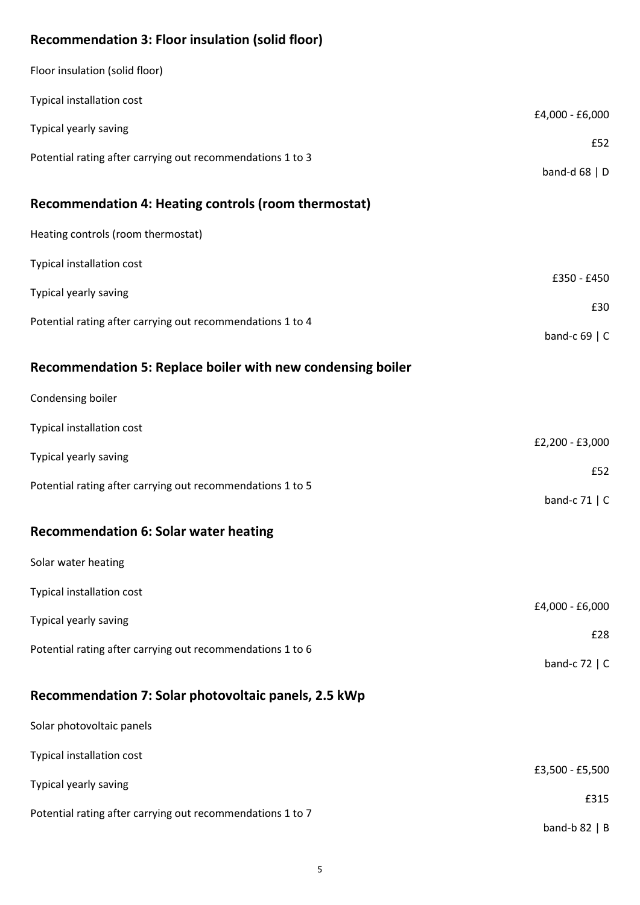### Recommendation 3: Floor insulation (solid floor)

| Floor insulation (solid floor)                              |                    |
|-------------------------------------------------------------|--------------------|
| Typical installation cost                                   | £4,000 - £6,000    |
| Typical yearly saving                                       | £52                |
| Potential rating after carrying out recommendations 1 to 3  |                    |
| Recommendation 4: Heating controls (room thermostat)        | band-d $68$   D    |
|                                                             |                    |
| Heating controls (room thermostat)                          |                    |
| Typical installation cost                                   | £350 - £450        |
| Typical yearly saving                                       | £30                |
| Potential rating after carrying out recommendations 1 to 4  | band-c $69 \mid C$ |
|                                                             |                    |
| Recommendation 5: Replace boiler with new condensing boiler |                    |
| Condensing boiler                                           |                    |
| Typical installation cost                                   | £2,200 - £3,000    |
| Typical yearly saving                                       |                    |
| Potential rating after carrying out recommendations 1 to 5  | £52                |
|                                                             | band-c 71   C      |
| <b>Recommendation 6: Solar water heating</b>                |                    |
| Solar water heating                                         |                    |
| Typical installation cost                                   |                    |
| Typical yearly saving                                       | £4,000 - £6,000    |
| Potential rating after carrying out recommendations 1 to 6  | £28                |
|                                                             | band-c $72 \mid C$ |
| Recommendation 7: Solar photovoltaic panels, 2.5 kWp        |                    |
| Solar photovoltaic panels                                   |                    |
| Typical installation cost                                   |                    |
| Typical yearly saving                                       | £3,500 - £5,500    |
| Potential rating after carrying out recommendations 1 to 7  | £315               |
|                                                             | band-b $82 \mid B$ |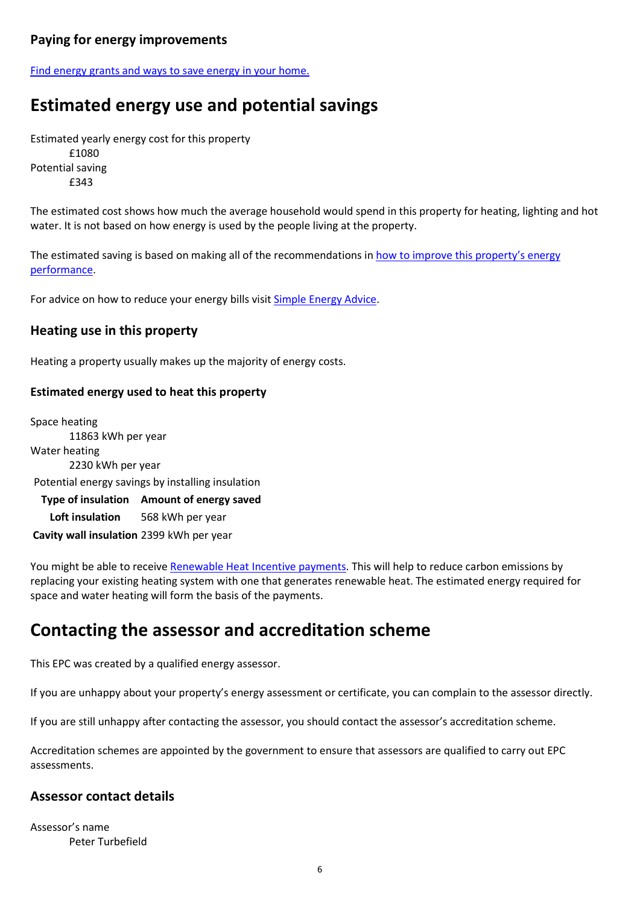### Paying for energy improvements

Find energy grants and ways to save energy in your home.

# Estimated energy use and potential savings

Estimated yearly energy cost for this property £1080 Potential saving £343

The estimated cost shows how much the average household would spend in this property for heating, lighting and hot water. It is not based on how energy is used by the people living at the property.

The estimated saving is based on making all of the recommendations in how to improve this property's energy performance.

For advice on how to reduce your energy bills visit Simple Energy Advice.

#### Heating use in this property

Heating a property usually makes up the majority of energy costs.

#### Estimated energy used to heat this property

Space heating 11863 kWh per year Water heating 2230 kWh per year Potential energy savings by installing insulation Type of insulation Amount of energy saved Loft insulation 568 kWh per year Cavity wall insulation 2399 kWh per year

You might be able to receive Renewable Heat Incentive payments. This will help to reduce carbon emissions by replacing your existing heating system with one that generates renewable heat. The estimated energy required for space and water heating will form the basis of the payments.

### Contacting the assessor and accreditation scheme

This EPC was created by a qualified energy assessor.

If you are unhappy about your property's energy assessment or certificate, you can complain to the assessor directly.

If you are still unhappy after contacting the assessor, you should contact the assessor's accreditation scheme.

Accreditation schemes are appointed by the government to ensure that assessors are qualified to carry out EPC assessments.

#### Assessor contact details

Assessor's name Peter Turbefield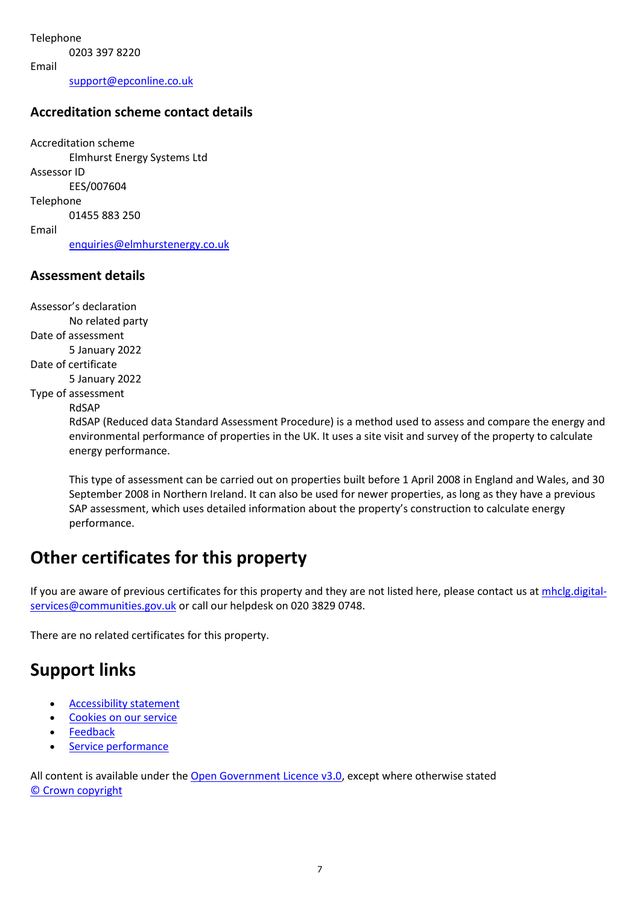Telephone 0203 397 8220 Email support@epconline.co.uk

#### Accreditation scheme contact details

Accreditation scheme Elmhurst Energy Systems Ltd Assessor ID EES/007604 Telephone 01455 883 250 Email enquiries@elmhurstenergy.co.uk

#### Assessment details

Assessor's declaration No related party Date of assessment 5 January 2022 Date of certificate 5 January 2022 Type of assessment RdSAP

RdSAP (Reduced data Standard Assessment Procedure) is a method used to assess and compare the energy and environmental performance of properties in the UK. It uses a site visit and survey of the property to calculate energy performance.

This type of assessment can be carried out on properties built before 1 April 2008 in England and Wales, and 30 September 2008 in Northern Ireland. It can also be used for newer properties, as long as they have a previous SAP assessment, which uses detailed information about the property's construction to calculate energy performance.

## Other certificates for this property

If you are aware of previous certificates for this property and they are not listed here, please contact us at mhclg.digitalservices@communities.gov.uk or call our helpdesk on 020 3829 0748.

There are no related certificates for this property.

# Support links

- Accessibility statement
- Cookies on our service
- Feedback
- Service performance

All content is available under the Open Government Licence v3.0, except where otherwise stated © Crown copyright